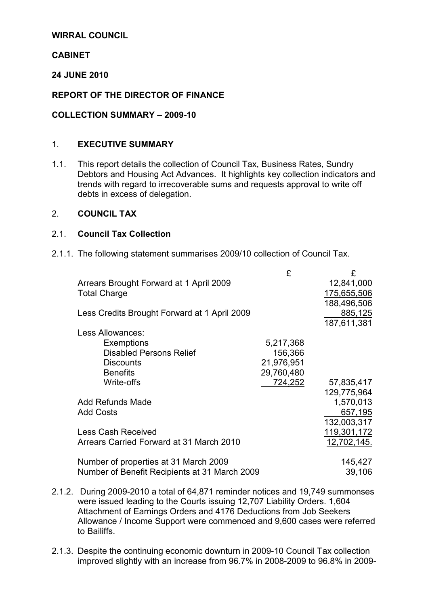## WIRRAL COUNCIL

## **CABINET**

## 24 JUNE 2010

## REPORT OF THE DIRECTOR OF FINANCE

## COLLECTION SUMMARY – 2009-10

## 1. EXECUTIVE SUMMARY

1.1. This report details the collection of Council Tax, Business Rates, Sundry Debtors and Housing Act Advances. It highlights key collection indicators and trends with regard to irrecoverable sums and requests approval to write off debts in excess of delegation.

## 2. COUNCIL TAX

## 2.1. Council Tax Collection

2.1.1. The following statement summarises 2009/10 collection of Council Tax.

|                                               | £          | £           |
|-----------------------------------------------|------------|-------------|
| Arrears Brought Forward at 1 April 2009       |            | 12,841,000  |
| <b>Total Charge</b>                           |            | 175,655,506 |
|                                               |            | 188,496,506 |
| Less Credits Brought Forward at 1 April 2009  |            | 885,125     |
|                                               |            | 187,611,381 |
| Less Allowances:                              |            |             |
| Exemptions                                    | 5,217,368  |             |
| <b>Disabled Persons Relief</b>                | 156,366    |             |
| <b>Discounts</b>                              | 21,976,951 |             |
| <b>Benefits</b>                               | 29,760,480 |             |
| Write-offs                                    | 724,252    | 57,835,417  |
|                                               |            | 129,775,964 |
| <b>Add Refunds Made</b>                       |            | 1,570,013   |
| <b>Add Costs</b>                              |            | 657,195     |
|                                               |            | 132,003,317 |
| <b>Less Cash Received</b>                     |            | 119,301,172 |
| Arrears Carried Forward at 31 March 2010      |            | 12,702,145. |
|                                               |            |             |
| Number of properties at 31 March 2009         |            | 145,427     |
| Number of Benefit Recipients at 31 March 2009 |            | 39,106      |

- 2.1.2. During 2009-2010 a total of 64,871 reminder notices and 19,749 summonses were issued leading to the Courts issuing 12,707 Liability Orders. 1,604 Attachment of Earnings Orders and 4176 Deductions from Job Seekers Allowance / Income Support were commenced and 9,600 cases were referred to Bailiffs.
- 2.1.3. Despite the continuing economic downturn in 2009-10 Council Tax collection improved slightly with an increase from 96.7% in 2008-2009 to 96.8% in 2009-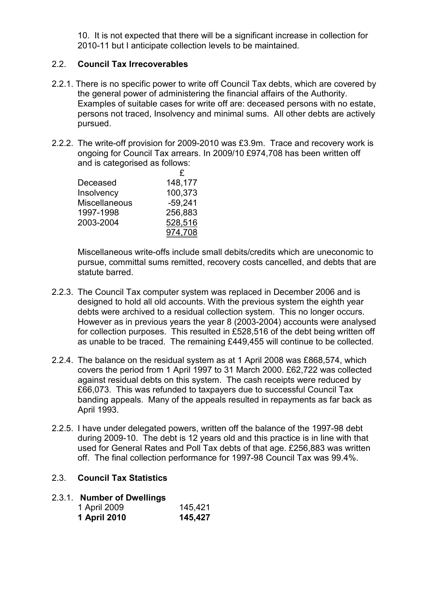10. It is not expected that there will be a significant increase in collection for 2010-11 but I anticipate collection levels to be maintained.

## 2.2. Council Tax Irrecoverables

- 2.2.1. There is no specific power to write off Council Tax debts, which are covered by the general power of administering the financial affairs of the Authority. Examples of suitable cases for write off are: deceased persons with no estate, persons not traced, Insolvency and minimal sums. All other debts are actively pursued.
- 2.2.2. The write-off provision for 2009-2010 was £3.9m. Trace and recovery work is ongoing for Council Tax arrears. In 2009/10 £974,708 has been written off and is categorised as follows:

|                      | £         |
|----------------------|-----------|
| Deceased             | 148,177   |
| Insolvency           | 100,373   |
| <b>Miscellaneous</b> | $-59,241$ |
| 1997-1998            | 256,883   |
| 2003-2004            | 528,516   |
|                      | 974,708   |

Miscellaneous write-offs include small debits/credits which are uneconomic to pursue, committal sums remitted, recovery costs cancelled, and debts that are statute barred.

- 2.2.3. The Council Tax computer system was replaced in December 2006 and is designed to hold all old accounts. With the previous system the eighth year debts were archived to a residual collection system. This no longer occurs. However as in previous years the year 8 (2003-2004) accounts were analysed for collection purposes. This resulted in £528,516 of the debt being written off as unable to be traced. The remaining £449,455 will continue to be collected.
- 2.2.4. The balance on the residual system as at 1 April 2008 was £868,574, which covers the period from 1 April 1997 to 31 March 2000. £62,722 was collected against residual debts on this system. The cash receipts were reduced by £66,073. This was refunded to taxpayers due to successful Council Tax banding appeals. Many of the appeals resulted in repayments as far back as April 1993.
- 2.2.5. I have under delegated powers, written off the balance of the 1997-98 debt during 2009-10. The debt is 12 years old and this practice is in line with that used for General Rates and Poll Tax debts of that age. £256,883 was written off. The final collection performance for 1997-98 Council Tax was 99.4%.

## 2.3. Council Tax Statistics

## 2.3.1. Number of Dwellings

| 1 April 2009 | 145,421 |
|--------------|---------|
| 1 April 2010 | 145,427 |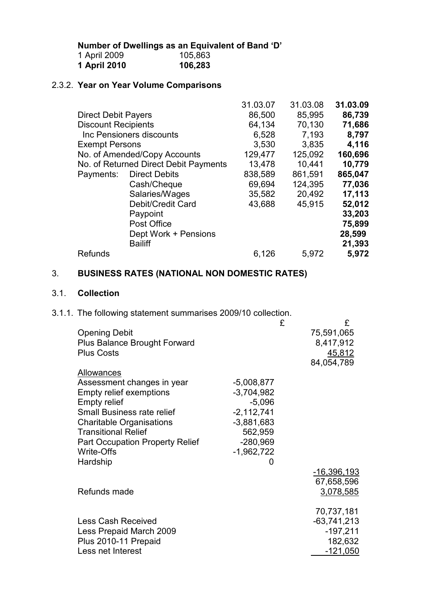Number of Dwellings as an Equivalent of Band 'D'

| 1 April 2009 | 105,863 |
|--------------|---------|
| 1 April 2010 | 106,283 |

## 2.3.2. Year on Year Volume Comparisons

|                            |                                       | 31.03.07 | 31.03.08 | 31.03.09 |
|----------------------------|---------------------------------------|----------|----------|----------|
| <b>Direct Debit Payers</b> |                                       | 86,500   | 85,995   | 86,739   |
| <b>Discount Recipients</b> |                                       | 64,134   | 70,130   | 71,686   |
|                            | Inc Pensioners discounts              | 6,528    | 7,193    | 8,797    |
| <b>Exempt Persons</b>      |                                       | 3,530    | 3,835    | 4,116    |
|                            | No. of Amended/Copy Accounts          | 129,477  | 125,092  | 160,696  |
|                            | No. of Returned Direct Debit Payments | 13,478   | 10,441   | 10,779   |
| Payments:                  | <b>Direct Debits</b>                  | 838,589  | 861,591  | 865,047  |
|                            | Cash/Cheque                           | 69,694   | 124,395  | 77,036   |
|                            | Salaries/Wages                        | 35,582   | 20,492   | 17,113   |
|                            | Debit/Credit Card                     | 43,688   | 45,915   | 52,012   |
|                            | Paypoint                              |          |          | 33,203   |
|                            | Post Office                           |          |          | 75,899   |
|                            | Dept Work + Pensions                  |          |          | 28,599   |
|                            | <b>Bailiff</b>                        |          |          | 21,393   |
| <b>Refunds</b>             |                                       | 6,126    | 5,972    | 5,972    |
|                            |                                       |          |          |          |

# 3. BUSINESS RATES (NATIONAL NON DOMESTIC RATES)

## 3.1. Collection

## 3.1.1. The following statement summarises 2009/10 collection.

|                                        |              | £ | £             |
|----------------------------------------|--------------|---|---------------|
| <b>Opening Debit</b>                   |              |   | 75,591,065    |
| <b>Plus Balance Brought Forward</b>    |              |   | 8,417,912     |
| <b>Plus Costs</b>                      |              |   |               |
|                                        |              |   | 45,812        |
|                                        |              |   | 84,054,789    |
| Allowances                             |              |   |               |
| Assessment changes in year             | $-5,008,877$ |   |               |
| <b>Empty relief exemptions</b>         | $-3,704,982$ |   |               |
| <b>Empty relief</b>                    | $-5,096$     |   |               |
| <b>Small Business rate relief</b>      | $-2,112,741$ |   |               |
| <b>Charitable Organisations</b>        | $-3,881,683$ |   |               |
|                                        |              |   |               |
| <b>Transitional Relief</b>             | 562,959      |   |               |
| <b>Part Occupation Property Relief</b> | $-280,969$   |   |               |
| Write-Offs                             | $-1,962,722$ |   |               |
| Hardship                               | 0            |   |               |
|                                        |              |   | -16,396,193   |
|                                        |              |   | 67,658,596    |
|                                        |              |   |               |
| Refunds made                           |              |   | 3,078,585     |
|                                        |              |   |               |
|                                        |              |   | 70,737,181    |
| <b>Less Cash Received</b>              |              |   | $-63,741,213$ |
| Less Prepaid March 2009                |              |   | $-197,211$    |
| Plus 2010-11 Prepaid                   |              |   | 182,632       |
| Less net Interest                      |              |   | $-121,050$    |
|                                        |              |   |               |
|                                        |              |   |               |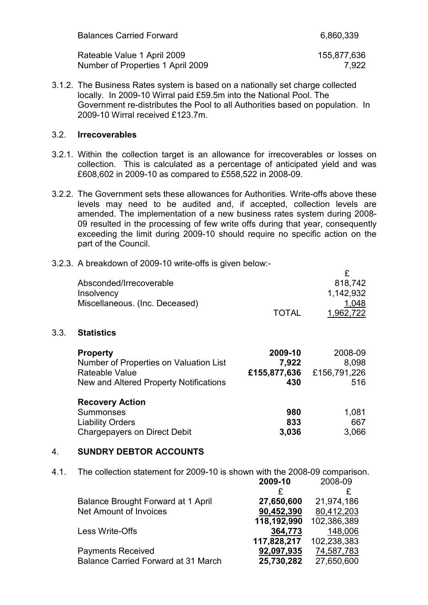| <b>Balances Carried Forward</b>   | 6,860,339   |
|-----------------------------------|-------------|
| Rateable Value 1 April 2009       | 155,877,636 |
| Number of Properties 1 April 2009 | 7.922       |

3.1.2. The Business Rates system is based on a nationally set charge collected locally. In 2009-10 Wirral paid £59.5m into the National Pool. The Government re-distributes the Pool to all Authorities based on population. In 2009-10 Wirral received £123.7m.

#### 3.2. Irrecoverables

- 3.2.1. Within the collection target is an allowance for irrecoverables or losses on collection. This is calculated as a percentage of anticipated yield and was £608,602 in 2009-10 as compared to £558,522 in 2008-09.
- 3.2.2. The Government sets these allowances for Authorities. Write-offs above these levels may need to be audited and, if accepted, collection levels are amended. The implementation of a new business rates system during 2008- 09 resulted in the processing of few write offs during that year, consequently exceeding the limit during 2009-10 should require no specific action on the part of the Council.

#### 3.2.3. A breakdown of 2009-10 write-offs is given below:- £

|      | Absconded/Irrecoverable<br>Insolvency                                                                                 |                                         | 818,742<br>1,142,932                    |
|------|-----------------------------------------------------------------------------------------------------------------------|-----------------------------------------|-----------------------------------------|
|      | Miscellaneous. (Inc. Deceased)                                                                                        | <b>TOTAL</b>                            | 1,048<br>1,962,722                      |
| 3.3. | <b>Statistics</b>                                                                                                     |                                         |                                         |
|      | <b>Property</b><br>Number of Properties on Valuation List<br>Rateable Value<br>New and Altered Property Notifications | 2009-10<br>7,922<br>£155,877,636<br>430 | 2008-09<br>8,098<br>£156,791,226<br>516 |
|      | <b>Recovery Action</b><br>Summonses<br><b>Liability Orders</b><br><b>Chargepayers on Direct Debit</b>                 | 980<br>833<br>3,036                     | 1,081<br>667<br>3,066                   |

## 4. SUNDRY DEBTOR ACCOUNTS

4.1. The collection statement for 2009-10 is shown with the 2008-09 comparison.

|                                            | 2009-10     | 2008-09     |
|--------------------------------------------|-------------|-------------|
|                                            |             | £           |
| <b>Balance Brought Forward at 1 April</b>  | 27,650,600  | 21,974,186  |
| <b>Net Amount of Invoices</b>              | 90,452,390  | 80,412,203  |
|                                            | 118,192,990 | 102,386,389 |
| Less Write-Offs                            | 364,773     | 148,006     |
|                                            | 117,828,217 | 102,238,383 |
| <b>Payments Received</b>                   | 92,097,935  | 74,587,783  |
| <b>Balance Carried Forward at 31 March</b> | 25,730,282  | 27,650,600  |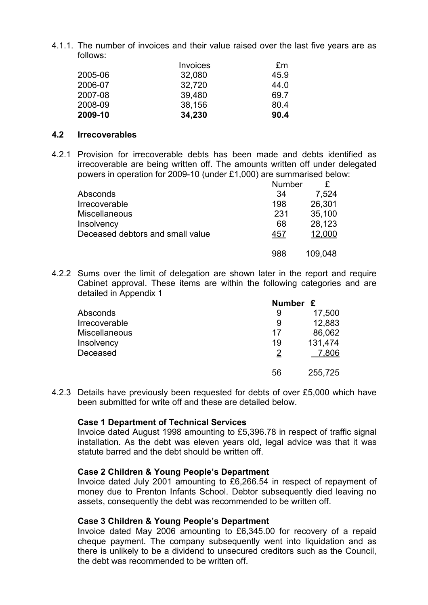4.1.1. The number of invoices and their value raised over the last five years are as follows:

|         | <b>Invoices</b> | £m   |
|---------|-----------------|------|
| 2005-06 | 32,080          | 45.9 |
| 2006-07 | 32,720          | 44.0 |
| 2007-08 | 39,480          | 69.7 |
| 2008-09 | 38,156          | 80.4 |
| 2009-10 | 34,230          | 90.4 |

#### 4.2 Irrecoverables

4.2.1 Provision for irrecoverable debts has been made and debts identified as irrecoverable are being written off. The amounts written off under delegated powers in operation for 2009-10 (under £1,000) are summarised below:

|                                  | <b>Number</b> |         |
|----------------------------------|---------------|---------|
| Absconds                         | 34            | 7,524   |
| Irrecoverable                    | 198           | 26,301  |
| <b>Miscellaneous</b>             | 231           | 35,100  |
| Insolvency                       | 68            | 28,123  |
| Deceased debtors and small value | 457           | 12,000  |
|                                  | 988           | 109,048 |

4.2.2 Sums over the limit of delegation are shown later in the report and require Cabinet approval. These items are within the following categories and are detailed in Appendix 1

|                      | Number £ |         |
|----------------------|----------|---------|
| Absconds             | 9        | 17,500  |
| Irrecoverable        | 9        | 12,883  |
| <b>Miscellaneous</b> | 17       | 86,062  |
| Insolvency           | 19       | 131,474 |
| Deceased             | 2        | 7,806   |
|                      | 56       | 255,725 |

4.2.3 Details have previously been requested for debts of over £5,000 which have been submitted for write off and these are detailed below.

## Case 1 Department of Technical Services

Invoice dated August 1998 amounting to £5,396.78 in respect of traffic signal installation. As the debt was eleven years old, legal advice was that it was statute barred and the debt should be written off.

## Case 2 Children & Young People's Department

Invoice dated July 2001 amounting to £6,266.54 in respect of repayment of money due to Prenton Infants School. Debtor subsequently died leaving no assets, consequently the debt was recommended to be written off.

## Case 3 Children & Young People's Department

Invoice dated May 2006 amounting to £6,345.00 for recovery of a repaid cheque payment. The company subsequently went into liquidation and as there is unlikely to be a dividend to unsecured creditors such as the Council, the debt was recommended to be written off.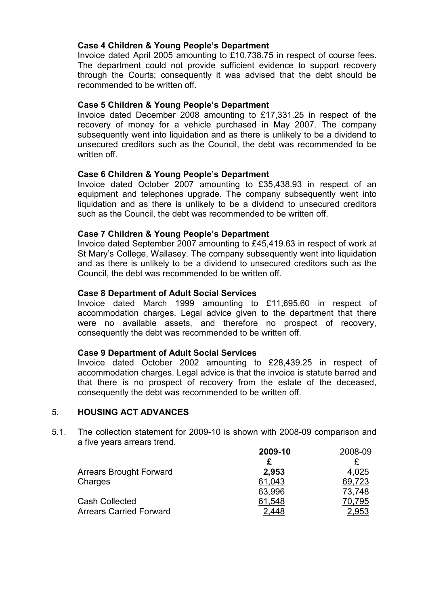## Case 4 Children & Young People's Department

Invoice dated April 2005 amounting to £10,738.75 in respect of course fees. The department could not provide sufficient evidence to support recovery through the Courts; consequently it was advised that the debt should be recommended to be written off.

## Case 5 Children & Young People's Department

Invoice dated December 2008 amounting to £17,331.25 in respect of the recovery of money for a vehicle purchased in May 2007. The company subsequently went into liquidation and as there is unlikely to be a dividend to unsecured creditors such as the Council, the debt was recommended to be written off.

#### Case 6 Children & Young People's Department

Invoice dated October 2007 amounting to £35,438.93 in respect of an equipment and telephones upgrade. The company subsequently went into liquidation and as there is unlikely to be a dividend to unsecured creditors such as the Council, the debt was recommended to be written off.

#### Case 7 Children & Young People's Department

Invoice dated September 2007 amounting to £45,419.63 in respect of work at St Mary's College, Wallasey. The company subsequently went into liquidation and as there is unlikely to be a dividend to unsecured creditors such as the Council, the debt was recommended to be written off.

#### Case 8 Department of Adult Social Services

Invoice dated March 1999 amounting to £11,695.60 in respect of accommodation charges. Legal advice given to the department that there were no available assets, and therefore no prospect of recovery, consequently the debt was recommended to be written off.

#### Case 9 Department of Adult Social Services

Invoice dated October 2002 amounting to £28,439.25 in respect of accommodation charges. Legal advice is that the invoice is statute barred and that there is no prospect of recovery from the estate of the deceased, consequently the debt was recommended to be written off.

## 5. HOUSING ACT ADVANCES

5.1. The collection statement for 2009-10 is shown with 2008-09 comparison and a five years arrears trend.

|                                | 2009-10 | 2008-09 |
|--------------------------------|---------|---------|
|                                |         |         |
| <b>Arrears Brought Forward</b> | 2,953   | 4,025   |
| Charges                        | 61,043  | 69,723  |
|                                | 63,996  | 73,748  |
| <b>Cash Collected</b>          | 61,548  | 70,795  |
| <b>Arrears Carried Forward</b> | 2,448   | 2,953   |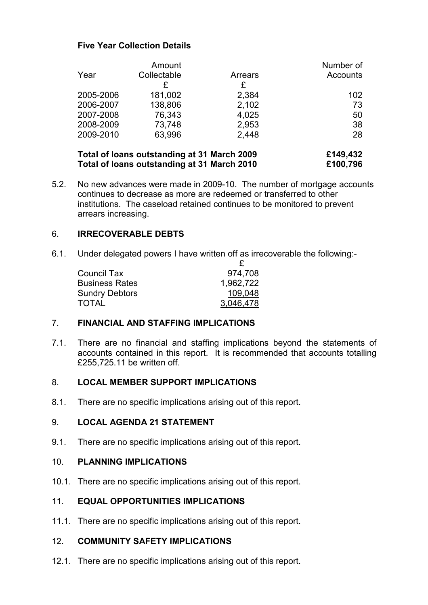## Five Year Collection Details

|           | Amount      |         | Number of       |
|-----------|-------------|---------|-----------------|
| Year      | Collectable | Arrears | <b>Accounts</b> |
|           | £           | £       |                 |
| 2005-2006 | 181,002     | 2,384   | 102             |
| 2006-2007 | 138,806     | 2,102   | 73              |
| 2007-2008 | 76,343      | 4,025   | 50              |
| 2008-2009 | 73,748      | 2,953   | 38              |
| 2009-2010 | 63,996      | 2,448   | 28              |
|           |             |         |                 |

| Total of loans outstanding at 31 March 2009 | £149,432 |
|---------------------------------------------|----------|
| Total of Ioans outstanding at 31 March 2010 | £100,796 |

5.2. No new advances were made in 2009-10. The number of mortgage accounts continues to decrease as more are redeemed or transferred to other institutions. The caseload retained continues to be monitored to prevent arrears increasing.

## 6. IRRECOVERABLE DEBTS

6.1. Under delegated powers I have written off as irrecoverable the following:-

| <b>Council Tax</b>    | 974,708   |
|-----------------------|-----------|
| <b>Business Rates</b> | 1,962,722 |
| <b>Sundry Debtors</b> | 109.048   |
| <b>TOTAL</b>          | 3,046,478 |

## 7. FINANCIAL AND STAFFING IMPLICATIONS

7.1. There are no financial and staffing implications beyond the statements of accounts contained in this report. It is recommended that accounts totalling £255,725.11 be written off.

## 8. LOCAL MEMBER SUPPORT IMPLICATIONS

8.1. There are no specific implications arising out of this report.

## 9. LOCAL AGENDA 21 STATEMENT

9.1. There are no specific implications arising out of this report.

## 10. PLANNING IMPLICATIONS

10.1. There are no specific implications arising out of this report.

## 11. EQUAL OPPORTUNITIES IMPLICATIONS

11.1. There are no specific implications arising out of this report.

#### 12. COMMUNITY SAFETY IMPLICATIONS

12.1. There are no specific implications arising out of this report.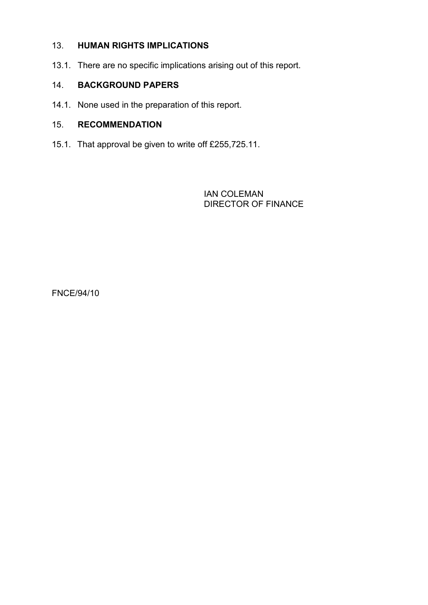## 13. HUMAN RIGHTS IMPLICATIONS

13.1. There are no specific implications arising out of this report.

## 14. BACKGROUND PAPERS

14.1. None used in the preparation of this report.

## 15. RECOMMENDATION

15.1. That approval be given to write off £255,725.11.

 IAN COLEMAN DIRECTOR OF FINANCE

FNCE/94/10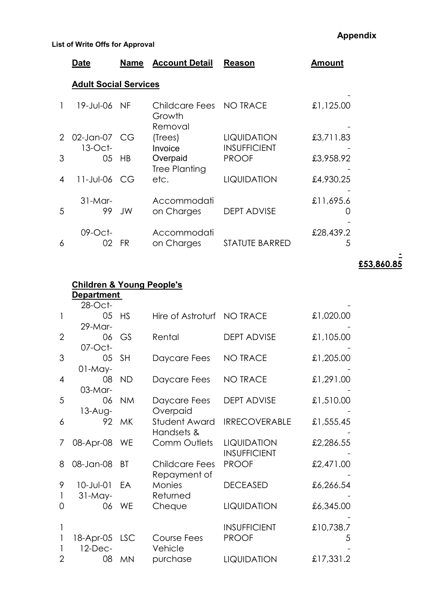|   | Date                         | Name | <b>Account Detail</b>                        | <b>Reason</b>                      | Amount         |  |  |  |
|---|------------------------------|------|----------------------------------------------|------------------------------------|----------------|--|--|--|
|   | <b>Adult Social Services</b> |      |                                              |                                    |                |  |  |  |
|   | 19-Jul-06 NF                 |      | Childcare Fees NO TRACE<br>Growth<br>Removal |                                    | £1,125.00      |  |  |  |
| 2 | 02-Jan-07 CG<br>$13$ -Oct-   |      | (Trees)<br>Invoice                           | LIQUIDATION<br><b>INSUFFICIENT</b> | £3,711.83      |  |  |  |
| 3 | 05                           | - HB | Overpaid<br><b>Tree Planting</b>             | <b>PROOF</b>                       | £3,958.92      |  |  |  |
| 4 | 11-Jul-06 CG                 |      | etc.                                         | LIQUIDATION                        | £4,930.25      |  |  |  |
| 5 | $31-Mar-$<br>99.             | JW   | Accommodati<br>on Charges                    | <b>DEPT ADVISE</b>                 | £11,695.6      |  |  |  |
| 6 | $09$ -Oct-<br>02             | FR   | Accommodati<br>on Charges                    | STATUTE BARRED                     | £28,439.2<br>5 |  |  |  |

- <u>£53,860.85</u>

|                | <b>Children &amp; Young People's</b><br><b>Department</b> |           |                            |                                           |           |  |  |
|----------------|-----------------------------------------------------------|-----------|----------------------------|-------------------------------------------|-----------|--|--|
|                | 28-Oct-                                                   |           |                            |                                           |           |  |  |
| 1              | 05                                                        | <b>HS</b> | Hire of Astroturf NO TRACE |                                           | £1,020.00 |  |  |
|                | $29-M$ ar-                                                |           |                            |                                           |           |  |  |
| $\overline{2}$ | 06                                                        | GS        | Rental                     | <b>DEPT ADVISE</b>                        | £1,105.00 |  |  |
|                | $07$ -Oct-                                                |           |                            |                                           |           |  |  |
| 3              | 05 <sub>o</sub>                                           | <b>SH</b> | Daycare Fees               | <b>NO TRACE</b>                           | £1,205.00 |  |  |
|                | $01-May-$                                                 |           |                            |                                           |           |  |  |
| 4              | 08                                                        | <b>ND</b> | Daycare Fees               | <b>NO TRACE</b>                           | £1,291.00 |  |  |
|                | 03-Mar-                                                   |           |                            |                                           |           |  |  |
| 5              | 06                                                        | <b>NM</b> | Daycare Fees               | <b>DEPT ADVISE</b>                        | £1,510.00 |  |  |
|                | $13-Aug-$                                                 |           | Overpaid                   |                                           |           |  |  |
| 6              |                                                           | 92 MK     | Student Award              | <b>IRRECOVERABLE</b>                      | £1,555.45 |  |  |
|                |                                                           |           | Handsets &                 |                                           |           |  |  |
| 7              | 08-Apr-08                                                 | WE        | <b>Comm Outlets</b>        | <b>LIQUIDATION</b><br><b>INSUFFICIENT</b> | £2,286.55 |  |  |
| 8              | 08-Jan-08                                                 | BT        | Childcare Fees             | <b>PROOF</b>                              |           |  |  |
|                |                                                           |           | Repayment of               |                                           | £2,471.00 |  |  |
| 9              | $10 - Jul - 01$                                           | EA        | <b>Monies</b>              | <b>DECEASED</b>                           | £6,266.54 |  |  |
| 1              | $31-May-$                                                 |           | Returned                   |                                           |           |  |  |
| 0              |                                                           | 06 WE     | Cheque                     | LIQUIDATION                               | £6,345.00 |  |  |
|                |                                                           |           |                            |                                           |           |  |  |
|                |                                                           |           |                            | <b>INSUFFICIENT</b>                       | £10,738.7 |  |  |
|                | 18-Apr-05 LSC                                             |           | Course Fees                | <b>PROOF</b>                              | 5         |  |  |
|                | 12-Dec-                                                   |           | Vehicle                    |                                           |           |  |  |
| 2              | 08                                                        | <b>MN</b> | purchase                   | <b>LIQUIDATION</b>                        | £17,331.2 |  |  |

# Appendix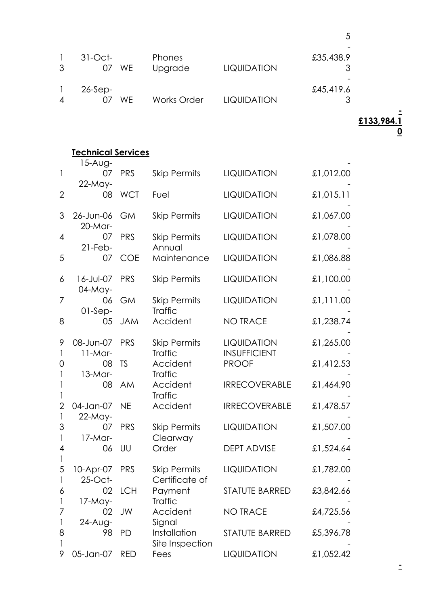| 3 | $31-Oct$ -<br>WE.<br>07 | <b>Phones</b><br>Upgrade | <b>LIQUIDATION</b> | £35,438.9 |
|---|-------------------------|--------------------------|--------------------|-----------|
| 4 | $26-Sep-$<br>WF.        | <b>Works Order</b>       | <b>LIQUIDATION</b> | £45,419.6 |

5

#### Technical Services

|                                          | 15-Aug-         |            |                     |                       |           |
|------------------------------------------|-----------------|------------|---------------------|-----------------------|-----------|
| $\mathbf{I}$                             | 07              | <b>PRS</b> | <b>Skip Permits</b> | LIQUIDATION           | £1,012.00 |
|                                          | 22-May-         |            |                     |                       |           |
| $\overline{2}$                           | 08              | <b>WCT</b> | Fuel                | <b>LIQUIDATION</b>    | £1,015.11 |
|                                          |                 |            |                     |                       |           |
| 3                                        | 26-Jun-06       | <b>GM</b>  | <b>Skip Permits</b> | LIQUIDATION           | £1,067.00 |
|                                          | $20$ -Mar-      |            |                     |                       |           |
| 4                                        | 07              | <b>PRS</b> | <b>Skip Permits</b> | <b>LIQUIDATION</b>    | £1,078.00 |
|                                          | $21$ -Feb-      |            | Annual              |                       |           |
| 5                                        | 07              | <b>COE</b> | Maintenance         | LIQUIDATION           | £1,086.88 |
| 6                                        | 16-Jul-07       | <b>PRS</b> | <b>Skip Permits</b> | LIQUIDATION           | £1,100.00 |
|                                          | $04-May-$       |            |                     |                       |           |
| 7                                        | 06              | <b>GM</b>  | <b>Skip Permits</b> | <b>LIQUIDATION</b>    | £1,111.00 |
|                                          | $01-Sep-$       |            | <b>Traffic</b>      |                       |           |
| 8                                        | 05              | <b>JAM</b> | Accident            | <b>NO TRACE</b>       | £1,238.74 |
|                                          |                 |            |                     |                       |           |
| 9                                        | 08-Jun-07       | PRS        | <b>Skip Permits</b> | LIQUIDATION           | £1,265.00 |
| $\mathbf{1}$                             | $11-Mar-$       |            | <b>Traffic</b>      | <b>INSUFFICIENT</b>   |           |
| 0                                        | 08              | <b>TS</b>  | Accident            | <b>PROOF</b>          | £1,412.53 |
| $\mathbf{1}$                             | $13-Mar-$       |            | <b>Traffic</b>      |                       |           |
| $\mathbf{1}$                             | 08              | <b>AM</b>  | Accident            | <b>IRRECOVERABLE</b>  | £1,464.90 |
| $\mathbf{1}$                             |                 |            | <b>Traffic</b>      |                       |           |
| $\overline{2}$                           | 04-Jan-07       | <b>NE</b>  | Accident            | <b>IRRECOVERABLE</b>  | £1,478.57 |
| $\mathsf{I}$                             | 22-May-         |            |                     |                       |           |
| 3                                        | 07              | <b>PRS</b> | <b>Skip Permits</b> | LIQUIDATION           | £1,507.00 |
| $\mathbf{1}$<br>$\overline{\mathcal{A}}$ | $17-Mar-$<br>06 | UU         | Clearway<br>Order   | <b>DEPT ADVISE</b>    | £1,524.64 |
| 1                                        |                 |            |                     |                       |           |
| 5                                        | 10-Apr-07       | <b>PRS</b> | <b>Skip Permits</b> | LIQUIDATION           | £1,782.00 |
|                                          | $25$ -Oct-      |            | Certificate of      |                       |           |
| 6                                        | 02              | LCH        | Payment             | <b>STATUTE BARRED</b> | £3,842.66 |
| 1                                        | $17-May-$       |            | <b>Traffic</b>      |                       |           |
| 7                                        | 02              | JW         | Accident            | <b>NO TRACE</b>       | £4,725.56 |
| 1                                        | 24-Aug-         |            | Signal              |                       |           |
| 8                                        | 98              | <b>PD</b>  | Installation        | <b>STATUTE BARRED</b> | £5,396.78 |
| 1                                        |                 |            | Site Inspection     |                       |           |
| 9                                        | 05-Jan-07       | <b>RED</b> | Fees                | LIQUIDATION           | £1,052.42 |